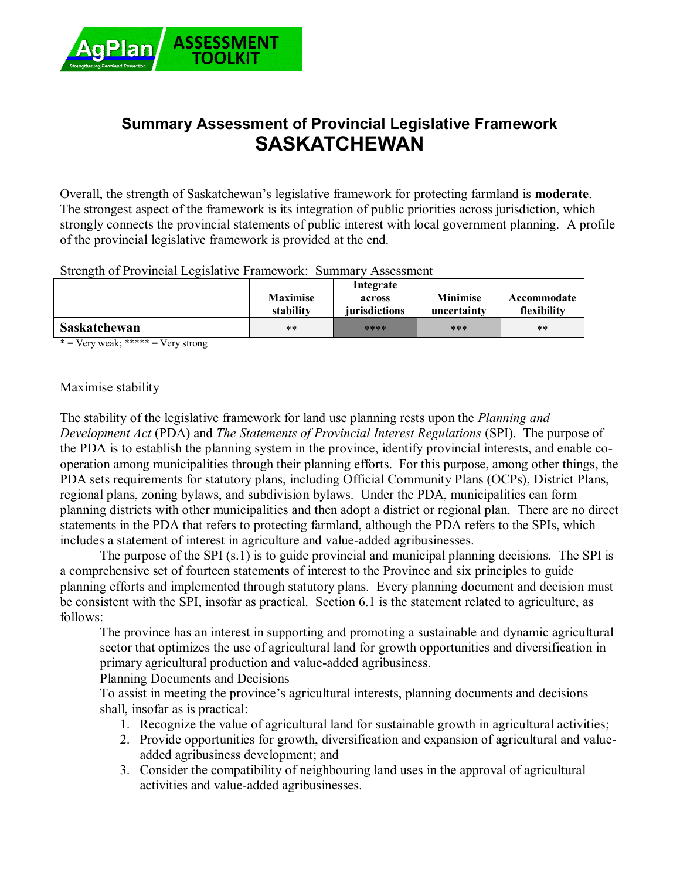

# **Summary Assessment of Provincial Legislative Framework SASKATCHEWAN**

Overall, the strength of Saskatchewan's legislative framework for protecting farmland is **moderate**. The strongest aspect of the framework is its integration of public priorities across jurisdiction, which strongly connects the provincial statements of public interest with local government planning. A profile of the provincial legislative framework is provided at the end.

Strength of Provincial Legislative Framework: Summary Assessment

|                     | <b>Maximise</b><br>stability | Integrate<br>across<br>jurisdictions | <b>Minimise</b><br>uncertainty | Accommodate<br>flexibility |
|---------------------|------------------------------|--------------------------------------|--------------------------------|----------------------------|
| <b>Saskatchewan</b> | $***$                        | ****                                 | ***                            | $***$                      |

 $* = \text{Verv weak};$  \*\*\*\*\* =  $\text{Verv strong}$ 

#### Maximise stability

The stability of the legislative framework for land use planning rests upon the *Planning and Development Act* (PDA) and *The Statements of Provincial Interest Regulations* (SPI). The purpose of the PDA is to establish the planning system in the province, identify provincial interests, and enable cooperation among municipalities through their planning efforts. For this purpose, among other things, the PDA sets requirements for statutory plans, including Official Community Plans (OCPs), District Plans, regional plans, zoning bylaws, and subdivision bylaws. Under the PDA, municipalities can form planning districts with other municipalities and then adopt a district or regional plan. There are no direct statements in the PDA that refers to protecting farmland, although the PDA refers to the SPIs, which includes a statement of interest in agriculture and value-added agribusinesses.

The purpose of the SPI (s.1) is to guide provincial and municipal planning decisions. The SPI is a comprehensive set of fourteen statements of interest to the Province and six principles to guide planning efforts and implemented through statutory plans. Every planning document and decision must be consistent with the SPI, insofar as practical. Section 6.1 is the statement related to agriculture, as follows:

The province has an interest in supporting and promoting a sustainable and dynamic agricultural sector that optimizes the use of agricultural land for growth opportunities and diversification in primary agricultural production and value-added agribusiness.

Planning Documents and Decisions

To assist in meeting the province's agricultural interests, planning documents and decisions shall, insofar as is practical:

- 1. Recognize the value of agricultural land for sustainable growth in agricultural activities;
- 2. Provide opportunities for growth, diversification and expansion of agricultural and valueadded agribusiness development; and
- 3. Consider the compatibility of neighbouring land uses in the approval of agricultural activities and value-added agribusinesses.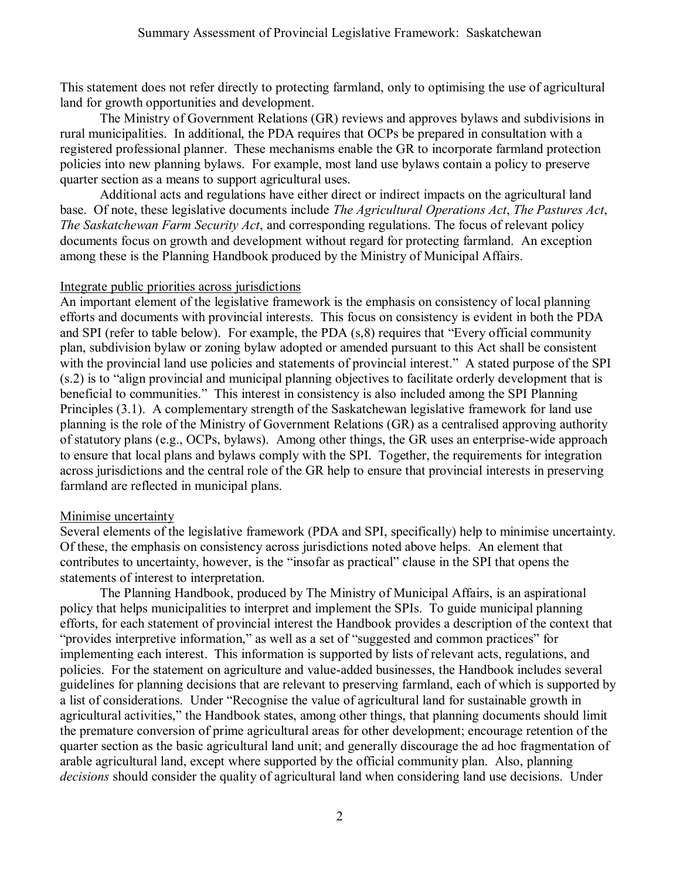This statement does not refer directly to protecting farmland, only to optimising the use of agricultural land for growth opportunities and development.

The Ministry of Government Relations (GR) reviews and approves bylaws and subdivisions in rural municipalities. In additional, the PDA requires that OCPs be prepared in consultation with a registered professional planner. These mechanisms enable the GR to incorporate farmland protection policies into new planning bylaws. For example, most land use bylaws contain a policy to preserve quarter section as a means to support agricultural uses.

Additional acts and regulations have either direct or indirect impacts on the agricultural land base. Of note, these legislative documents include *The Agricultural Operations Act*, *The Pastures Act*, *The Saskatchewan Farm Security Act*, and corresponding regulations. The focus of relevant policy documents focus on growth and development without regard for protecting farmland. An exception among these is the Planning Handbook produced by the Ministry of Municipal Affairs.

#### Integrate public priorities across jurisdictions

An important element of the legislative framework is the emphasis on consistency of local planning efforts and documents with provincial interests. This focus on consistency is evident in both the PDA and SPI (refer to table below). For example, the PDA (s,8) requires that "Every official community plan, subdivision bylaw or zoning bylaw adopted or amended pursuant to this Act shall be consistent with the provincial land use policies and statements of provincial interest." A stated purpose of the SPI (s.2) is to "align provincial and municipal planning objectives to facilitate orderly development that is beneficial to communities." This interest in consistency is also included among the SPI Planning Principles (3.1). A complementary strength of the Saskatchewan legislative framework for land use planning is the role of the Ministry of Government Relations (GR) as a centralised approving authority of statutory plans (e.g., OCPs, bylaws). Among other things, the GR uses an enterprise-wide approach to ensure that local plans and bylaws comply with the SPI. Together, the requirements for integration across jurisdictions and the central role of the GR help to ensure that provincial interests in preserving farmland are reflected in municipal plans.

### Minimise uncertainty

Several elements of the legislative framework (PDA and SPI, specifically) help to minimise uncertainty. Of these, the emphasis on consistency across jurisdictions noted above helps. An element that contributes to uncertainty, however, is the "insofar as practical" clause in the SPI that opens the statements of interest to interpretation.

The Planning Handbook, produced by The Ministry of Municipal Affairs, is an aspirational policy that helps municipalities to interpret and implement the SPIs. To guide municipal planning efforts, for each statement of provincial interest the Handbook provides a description of the context that "provides interpretive information," as well as a set of "suggested and common practices" for implementing each interest. This information is supported by lists of relevant acts, regulations, and policies. For the statement on agriculture and value-added businesses, the Handbook includes several guidelines for planning decisions that are relevant to preserving farmland, each of which is supported by a list of considerations. Under "Recognise the value of agricultural land for sustainable growth in agricultural activities," the Handbook states, among other things, that planning documents should limit the premature conversion of prime agricultural areas for other development; encourage retention of the quarter section as the basic agricultural land unit; and generally discourage the ad hoc fragmentation of arable agricultural land, except where supported by the official community plan. Also, planning *decisions* should consider the quality of agricultural land when considering land use decisions. Under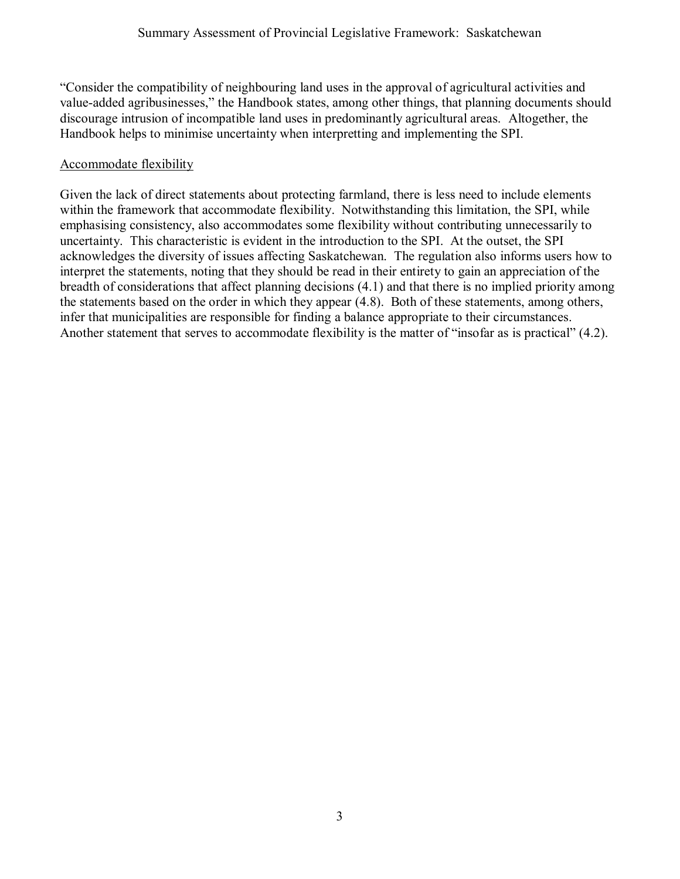"Consider the compatibility of neighbouring land uses in the approval of agricultural activities and value-added agribusinesses," the Handbook states, among other things, that planning documents should discourage intrusion of incompatible land uses in predominantly agricultural areas. Altogether, the Handbook helps to minimise uncertainty when interpretting and implementing the SPI.

## Accommodate flexibility

Given the lack of direct statements about protecting farmland, there is less need to include elements within the framework that accommodate flexibility. Notwithstanding this limitation, the SPI, while emphasising consistency, also accommodates some flexibility without contributing unnecessarily to uncertainty. This characteristic is evident in the introduction to the SPI. At the outset, the SPI acknowledges the diversity of issues affecting Saskatchewan. The regulation also informs users how to interpret the statements, noting that they should be read in their entirety to gain an appreciation of the breadth of considerations that affect planning decisions (4.1) and that there is no implied priority among the statements based on the order in which they appear (4.8). Both of these statements, among others, infer that municipalities are responsible for finding a balance appropriate to their circumstances. Another statement that serves to accommodate flexibility is the matter of "insofar as is practical" (4.2).